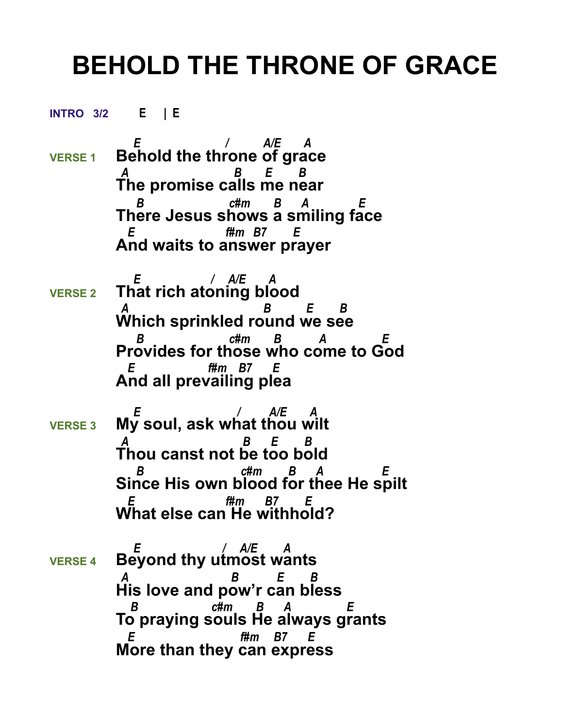## **BEHOLD THE THRONE OF GRACE**

**INTRO 3/2 E | E** 

- *E / A/E A*  **VERSE 1 Behold the throne of grace**  *A B E B* **The promise calls me near**  *B c#m B A E* **There Jesus shows a smiling face**  *E f#m B7 E*  **And waits to answer prayer**
- *E / A/E A*  **VERSE 2 That rich atoning blood**  *A B E B* **Which sprinkled round we see**  *B c#m B A E* **Provides for those who come to God**  *E f#m B7 E*  **And all prevailing plea**
- *E / A/E A* **VERSE 3 My soul, ask what thou wilt**  *A B E B* **Thou canst not be too bold**  *B c#m B A E* **Since His own blood for thee He spilt** *f#m B7* **What else can He withhold?**
- *E / A/E A* **VERSE 4 Beyond thy utmost wants**  *A B E B* **His love and pow'r can bless**  *B c#m B A E* **To praying souls He always grants**  *E f#m B7 E*  **More than they can express**